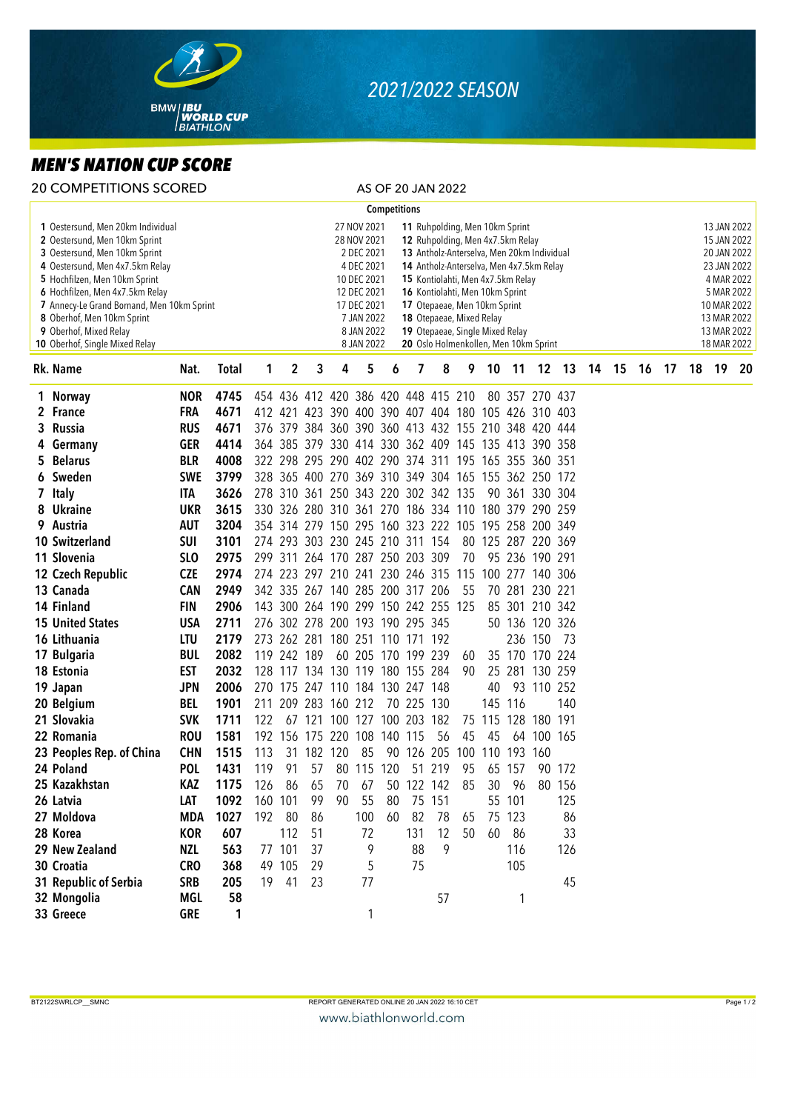

## *2021/2022 SEASON*

## *MEN'S NATION CUP SCORE*

|                                                                                                                                                                                                                                                                                                                                                    | 20 COMPETITIONS SCORED   |                 |              |     |                                                                                                                                                                                                                                                                                                                                                                                                                                                                                                                               |             |                                 |     |              |                     | AS OF 20 JAN 2022                   |     |     |         |                                                     |        |  |       |                                                                                                                                                  |    |  |       |    |
|----------------------------------------------------------------------------------------------------------------------------------------------------------------------------------------------------------------------------------------------------------------------------------------------------------------------------------------------------|--------------------------|-----------------|--------------|-----|-------------------------------------------------------------------------------------------------------------------------------------------------------------------------------------------------------------------------------------------------------------------------------------------------------------------------------------------------------------------------------------------------------------------------------------------------------------------------------------------------------------------------------|-------------|---------------------------------|-----|--------------|---------------------|-------------------------------------|-----|-----|---------|-----------------------------------------------------|--------|--|-------|--------------------------------------------------------------------------------------------------------------------------------------------------|----|--|-------|----|
|                                                                                                                                                                                                                                                                                                                                                    |                          |                 |              |     |                                                                                                                                                                                                                                                                                                                                                                                                                                                                                                                               |             |                                 |     | Competitions |                     |                                     |     |     |         |                                                     |        |  |       |                                                                                                                                                  |    |  |       |    |
| 1 Oestersund, Men 20km Individual<br>2 Oestersund, Men 10km Sprint<br>3 Oestersund, Men 10km Sprint<br>4 Oestersund, Men 4x7.5km Relay<br>5 Hochfilzen, Men 10km Sprint<br>6 Hochfilzen, Men 4x7.5km Relay<br>7 Annecy-Le Grand Bornand, Men 10km Sprint<br>8 Oberhof, Men 10km Sprint<br>9 Oberhof, Mixed Relay<br>10 Oberhof, Single Mixed Relay |                          |                 |              |     | 27 NOV 2021<br>11 Ruhpolding, Men 10km Sprint<br>28 NOV 2021<br>12 Ruhpolding, Men 4x7.5km Relay<br>2 DEC 2021<br>13 Antholz-Anterselva, Men 20km Individual<br>4 DEC 2021<br>14 Antholz-Anterselva, Men 4x7.5km Relay<br>10 DEC 2021<br>15 Kontiolahti, Men 4x7.5km Relay<br>12 DEC 2021<br>16 Kontiolahti, Men 10km Sprint<br>17 DEC 2021<br>17 Otepaeae, Men 10km Sprint<br>7 JAN 2022<br>18 Otepaeae, Mixed Relay<br>8 JAN 2022<br>19 Otepaeae, Single Mixed Relay<br>8 JAN 2022<br>20 Oslo Holmenkollen, Men 10km Sprint |             |                                 |     |              |                     |                                     |     |     |         |                                                     |        |  |       | 13 JAN 2022<br>15 JAN 2022<br>20 JAN 2022<br>23 JAN 2022<br>4 MAR 2022<br>5 MAR 2022<br>10 MAR 2022<br>13 MAR 2022<br>13 MAR 2022<br>18 MAR 2022 |    |  |       |    |
|                                                                                                                                                                                                                                                                                                                                                    | Rk. Name                 | Nat.            | <b>Total</b> | 1   | 2                                                                                                                                                                                                                                                                                                                                                                                                                                                                                                                             | 3           | 4                               | 5   | 6            | 7                   | 8                                   | 9.  | 10  | $-11$   | 12 13                                               |        |  | 14 15 | 16                                                                                                                                               | 17 |  | 18 19 | 20 |
|                                                                                                                                                                                                                                                                                                                                                    | 1 Norway                 | <b>NOR</b>      | 4745         |     |                                                                                                                                                                                                                                                                                                                                                                                                                                                                                                                               |             |                                 |     |              |                     | 454 436 412 420 386 420 448 415 210 |     |     |         | 80 357 270 437                                      |        |  |       |                                                                                                                                                  |    |  |       |    |
|                                                                                                                                                                                                                                                                                                                                                    | 2 France                 | <b>FRA</b>      | 4671         |     |                                                                                                                                                                                                                                                                                                                                                                                                                                                                                                                               |             |                                 |     |              |                     |                                     |     |     |         | 412 421 423 390 400 390 407 404 180 105 426 310 403 |        |  |       |                                                                                                                                                  |    |  |       |    |
| 3                                                                                                                                                                                                                                                                                                                                                  | Russia                   | <b>RUS</b>      | 4671         |     | 376 379                                                                                                                                                                                                                                                                                                                                                                                                                                                                                                                       |             |                                 |     |              |                     |                                     |     |     |         | 384 360 390 360 413 432 155 210 348 420 444         |        |  |       |                                                                                                                                                  |    |  |       |    |
| 4                                                                                                                                                                                                                                                                                                                                                  | Germany                  | <b>GER</b>      | 4414         |     |                                                                                                                                                                                                                                                                                                                                                                                                                                                                                                                               |             |                                 |     |              |                     |                                     |     |     |         | 364 385 379 330 414 330 362 409 145 135 413 390 358 |        |  |       |                                                                                                                                                  |    |  |       |    |
| 5                                                                                                                                                                                                                                                                                                                                                  | <b>Belarus</b>           | <b>BLR</b>      | 4008         |     |                                                                                                                                                                                                                                                                                                                                                                                                                                                                                                                               |             |                                 |     |              |                     |                                     |     |     |         | 322 298 295 290 402 290 374 311 195 165 355 360 351 |        |  |       |                                                                                                                                                  |    |  |       |    |
|                                                                                                                                                                                                                                                                                                                                                    | 6 Sweden                 | <b>SWE</b>      | 3799         |     |                                                                                                                                                                                                                                                                                                                                                                                                                                                                                                                               |             |                                 |     |              |                     |                                     |     |     |         | 328 365 400 270 369 310 349 304 165 155 362 250 172 |        |  |       |                                                                                                                                                  |    |  |       |    |
|                                                                                                                                                                                                                                                                                                                                                    | 7 Italy                  | <b>ITA</b>      | 3626         |     |                                                                                                                                                                                                                                                                                                                                                                                                                                                                                                                               |             |                                 |     |              |                     | 278 310 361 250 343 220 302 342 135 |     |     |         | 90 361 330 304                                      |        |  |       |                                                                                                                                                  |    |  |       |    |
|                                                                                                                                                                                                                                                                                                                                                    | 8 Ukraine                | <b>UKR</b>      | 3615         |     |                                                                                                                                                                                                                                                                                                                                                                                                                                                                                                                               |             |                                 |     |              |                     |                                     |     |     |         | 330 326 280 310 361 270 186 334 110 180 379 290 259 |        |  |       |                                                                                                                                                  |    |  |       |    |
|                                                                                                                                                                                                                                                                                                                                                    | 9 Austria                | <b>AUT</b>      | 3204         |     |                                                                                                                                                                                                                                                                                                                                                                                                                                                                                                                               |             |                                 |     |              |                     |                                     |     |     |         | 354 314 279 150 295 160 323 222 105 195 258 200 349 |        |  |       |                                                                                                                                                  |    |  |       |    |
|                                                                                                                                                                                                                                                                                                                                                    | <b>10 Switzerland</b>    | <b>SUI</b>      | 3101         |     |                                                                                                                                                                                                                                                                                                                                                                                                                                                                                                                               |             | 274 293 303 230 245 210 311 154 |     |              |                     |                                     |     |     |         | 80 125 287 220 369                                  |        |  |       |                                                                                                                                                  |    |  |       |    |
|                                                                                                                                                                                                                                                                                                                                                    | 11 Slovenia              | SL <sub>O</sub> | 2975         |     |                                                                                                                                                                                                                                                                                                                                                                                                                                                                                                                               |             | 299 311 264 170 287 250 203 309 |     |              |                     |                                     | 70  |     |         | 95 236 190 291                                      |        |  |       |                                                                                                                                                  |    |  |       |    |
|                                                                                                                                                                                                                                                                                                                                                    | 12 Czech Republic        | <b>CZE</b>      | 2974         |     |                                                                                                                                                                                                                                                                                                                                                                                                                                                                                                                               |             |                                 |     |              |                     | 274 223 297 210 241 230 246 315 115 |     |     |         | 100 277 140 306                                     |        |  |       |                                                                                                                                                  |    |  |       |    |
|                                                                                                                                                                                                                                                                                                                                                    | 13 Canada                | <b>CAN</b>      | 2949         |     |                                                                                                                                                                                                                                                                                                                                                                                                                                                                                                                               |             | 342 335 267 140 285 200 317 206 |     |              |                     |                                     | 55  |     |         | 70 281 230 221                                      |        |  |       |                                                                                                                                                  |    |  |       |    |
|                                                                                                                                                                                                                                                                                                                                                    | 14 Finland               | <b>FIN</b>      | 2906         |     |                                                                                                                                                                                                                                                                                                                                                                                                                                                                                                                               |             |                                 |     |              |                     | 143 300 264 190 299 150 242 255 125 |     |     |         | 85 301 210 342                                      |        |  |       |                                                                                                                                                  |    |  |       |    |
|                                                                                                                                                                                                                                                                                                                                                    | <b>15 United States</b>  | <b>USA</b>      | 2711         |     |                                                                                                                                                                                                                                                                                                                                                                                                                                                                                                                               |             | 276 302 278 200 193 190 295 345 |     |              |                     |                                     |     |     |         | 50 136 120 326                                      |        |  |       |                                                                                                                                                  |    |  |       |    |
|                                                                                                                                                                                                                                                                                                                                                    | 16 Lithuania             | LTU             | 2179         |     |                                                                                                                                                                                                                                                                                                                                                                                                                                                                                                                               |             | 273 262 281 180 251 110 171 192 |     |              |                     |                                     |     |     |         | 236 150                                             | -73    |  |       |                                                                                                                                                  |    |  |       |    |
|                                                                                                                                                                                                                                                                                                                                                    | 17 Bulgaria              | <b>BUL</b>      | 2082         |     | 119 242 189                                                                                                                                                                                                                                                                                                                                                                                                                                                                                                                   |             |                                 |     |              | 60 205 170 199 239  |                                     | 60  |     |         | 35 170 170 224                                      |        |  |       |                                                                                                                                                  |    |  |       |    |
|                                                                                                                                                                                                                                                                                                                                                    | 18 Estonia               | <b>EST</b>      | 2032         |     |                                                                                                                                                                                                                                                                                                                                                                                                                                                                                                                               |             | 128 117 134 130 119 180 155 284 |     |              |                     |                                     | 90  |     | 25 281  | 130 259                                             |        |  |       |                                                                                                                                                  |    |  |       |    |
|                                                                                                                                                                                                                                                                                                                                                    | 19 Japan                 | <b>JPN</b>      | 2006         |     |                                                                                                                                                                                                                                                                                                                                                                                                                                                                                                                               | 270 175 247 |                                 |     |              | 110 184 130 247 148 |                                     |     | 40  |         | 93 110 252                                          |        |  |       |                                                                                                                                                  |    |  |       |    |
|                                                                                                                                                                                                                                                                                                                                                    | 20 Belgium               | <b>BEL</b>      | 1901         | 211 | 209                                                                                                                                                                                                                                                                                                                                                                                                                                                                                                                           | 283         | 160 212                         |     |              | 70 225 130          |                                     |     |     | 145 116 |                                                     | 140    |  |       |                                                                                                                                                  |    |  |       |    |
|                                                                                                                                                                                                                                                                                                                                                    | 21 Slovakia              | <b>SVK</b>      | 1711         | 122 | 67                                                                                                                                                                                                                                                                                                                                                                                                                                                                                                                            | 121         | 100 127                         |     |              | 100 203 182         |                                     | 75  | 115 |         | 128 180 191                                         |        |  |       |                                                                                                                                                  |    |  |       |    |
|                                                                                                                                                                                                                                                                                                                                                    | 22 Romania               | <b>ROU</b>      | 1581         | 192 |                                                                                                                                                                                                                                                                                                                                                                                                                                                                                                                               | 156 175     | 220                             | 108 | 140 115      |                     | 56                                  | 45  | 45  | 64      | 100 165                                             |        |  |       |                                                                                                                                                  |    |  |       |    |
|                                                                                                                                                                                                                                                                                                                                                    | 23 Peoples Rep. of China | <b>CHN</b>      | 1515         | 113 | 31                                                                                                                                                                                                                                                                                                                                                                                                                                                                                                                            | 182         | 120                             | 85  | 90           | 126                 | 205                                 | 100 | 110 | 193 160 |                                                     |        |  |       |                                                                                                                                                  |    |  |       |    |
|                                                                                                                                                                                                                                                                                                                                                    | 24 Poland                | <b>POL</b>      | 1431         | 119 | 91                                                                                                                                                                                                                                                                                                                                                                                                                                                                                                                            | 57          | 80                              |     | 115 120      | 51                  | 219                                 | 95  |     | 65 157  |                                                     | 90 172 |  |       |                                                                                                                                                  |    |  |       |    |
|                                                                                                                                                                                                                                                                                                                                                    | 25 Kazakhstan            | KAZ             | 1175         | 126 | 86                                                                                                                                                                                                                                                                                                                                                                                                                                                                                                                            | 65          | 70                              | 67  |              | 50 122 142          |                                     | 85  | 30  | 96      |                                                     | 80 156 |  |       |                                                                                                                                                  |    |  |       |    |
|                                                                                                                                                                                                                                                                                                                                                    | 26 Latvia                | LAT             | 1092         | 160 | 101                                                                                                                                                                                                                                                                                                                                                                                                                                                                                                                           | 99          | 90                              | 55  | 80           | 75                  | 151                                 |     |     | 55 101  |                                                     | 125    |  |       |                                                                                                                                                  |    |  |       |    |
|                                                                                                                                                                                                                                                                                                                                                    | 27 Moldova               | MDA             | 1027         |     | 192 80                                                                                                                                                                                                                                                                                                                                                                                                                                                                                                                        | 86          |                                 | 100 | 60           | 82                  | 78                                  | 65  |     | 75 123  |                                                     | 86     |  |       |                                                                                                                                                  |    |  |       |    |
|                                                                                                                                                                                                                                                                                                                                                    | 28 Korea                 | <b>KOR</b>      | 607          |     | 112                                                                                                                                                                                                                                                                                                                                                                                                                                                                                                                           | 51          |                                 | 72  |              | 131                 | 12                                  | 50  | 60  | - 86    |                                                     | 33     |  |       |                                                                                                                                                  |    |  |       |    |
|                                                                                                                                                                                                                                                                                                                                                    | 29 New Zealand           | NZL             | 563          |     | 77 101                                                                                                                                                                                                                                                                                                                                                                                                                                                                                                                        | 37          |                                 | 9   |              | 88                  | 9                                   |     |     | 116     |                                                     | 126    |  |       |                                                                                                                                                  |    |  |       |    |
|                                                                                                                                                                                                                                                                                                                                                    | 30 Croatia               | <b>CRO</b>      | 368          |     | 49 105                                                                                                                                                                                                                                                                                                                                                                                                                                                                                                                        | 29          |                                 | 5   |              | 75                  |                                     |     |     | 105     |                                                     |        |  |       |                                                                                                                                                  |    |  |       |    |
|                                                                                                                                                                                                                                                                                                                                                    | 31 Republic of Serbia    | <b>SRB</b>      | 205          | 19  | 41                                                                                                                                                                                                                                                                                                                                                                                                                                                                                                                            | 23          |                                 | 77  |              |                     |                                     |     |     |         |                                                     | 45     |  |       |                                                                                                                                                  |    |  |       |    |
|                                                                                                                                                                                                                                                                                                                                                    | 32 Mongolia              | MGL             | 58           |     |                                                                                                                                                                                                                                                                                                                                                                                                                                                                                                                               |             |                                 |     |              |                     | 57                                  |     |     | 1       |                                                     |        |  |       |                                                                                                                                                  |    |  |       |    |
|                                                                                                                                                                                                                                                                                                                                                    | 33 Greece                | GRE             | 1            |     |                                                                                                                                                                                                                                                                                                                                                                                                                                                                                                                               |             |                                 | 1   |              |                     |                                     |     |     |         |                                                     |        |  |       |                                                                                                                                                  |    |  |       |    |